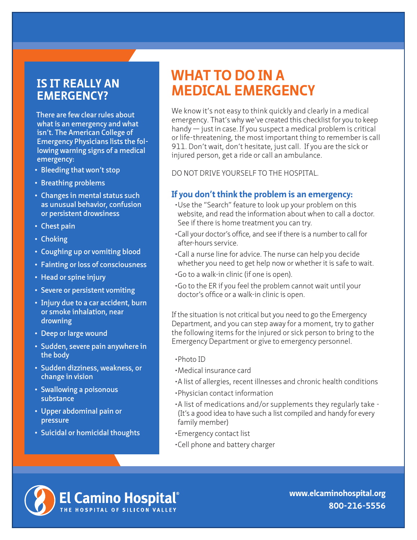### **IS IT REALLY AN EMERGENCY?**

**There are few clear rules about what is an emergency and what isn't. The American College of Emergency Physicians lists the following warning signs of a medical emergency:**

- **• Bleeding that won't stop**
- **• Breathing problems**
- **• Changes in mental status such as unusual behavior, confusion or persistent drowsiness**
- **• Chest pain**
- **• Choking**
- **• Coughing up or vomiting blood**
- **• Fainting or loss of consciousness**
- **• Head or spine injury**
- **• Severe or persistent vomiting**
- **• Injury due to a car accident, burn or smoke inhalation, near drowning**
- **• Deep or large wound**
- **• Sudden, severe pain anywhere in the body**
- **• Sudden dizziness, weakness, or change in vision**
- **• Swallowing a poisonous substance**
- **• Upper abdominal pain or pressure**
- **• Suicidal or homicidal thoughts**

## **WHAT TO DO IN A MEDICAL EMERGENCY**

We know it's not easy to think quickly and clearly in a medical emergency. That's why we've created this checklist for you to keep handy — just in case. If you suspect a medical problem is critical or life-threatening, the most important thing to remember is call 911. Don't wait, don't hesitate, just call. If you are the sick or injured person, get a ride or call an ambulance.

DO NOT DRIVE YOURSELF TO THE HOSPITAL.

#### **If you don't think the problem is an emergency:**

- •Use the "Search" feature to look up your problem on this website, and read the information about when to call a doctor. See if there is home treatment you can try.
- •Call your doctor's office, and see if there is a number to call for after-hours service.
- •Call a nurse line for advice. The nurse can help you decide whether you need to get help now or whether it is safe to wait.
- •Go to a walk-in clinic (if one is open).
- •Go to the ER if you feel the problem cannot wait until your doctor's office or a walk-in clinic is open.

If the situation is not critical but you need to go the Emergency Department, and you can step away for a moment, try to gather the following items for the injured or sick person to bring to the Emergency Department or give to emergency personnel.

- •Photo ID
- •Medical insurance card
- •A list of allergies, recent illnesses and chronic health conditions
- •Physician contact information
- •A list of medications and/or supplements they regularly take (It's a good idea to have such a list compiled and handy for every family member)
- •Emergency contact list
- •Cell phone and battery charger



**www.elcaminohospital.org 800-216-5556**